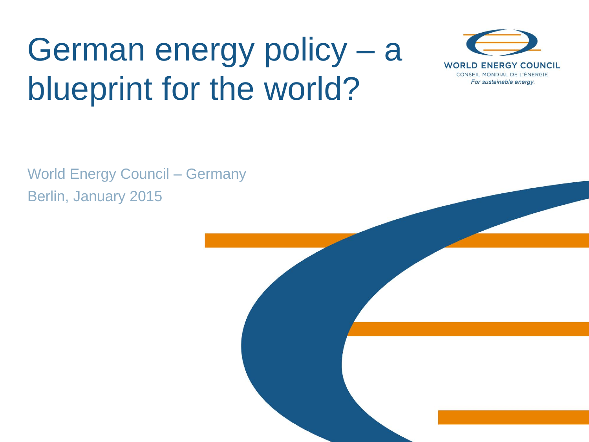# German energy policy – a blueprint for the world?



World Energy Council – Germany Berlin, January 2015

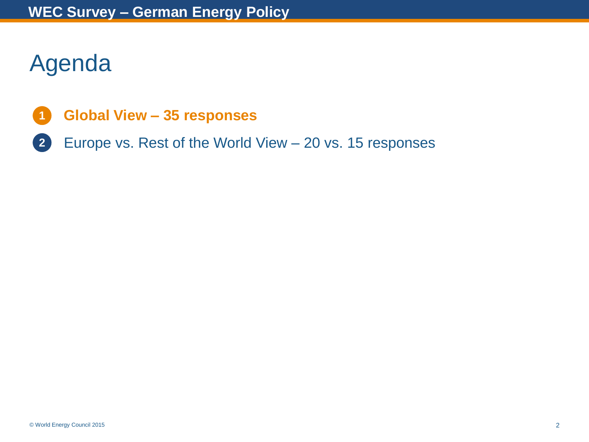## Agenda

- **Global View – 35 responses 1**
- Europe vs. Rest of the World View 20 vs. 15 responses **2**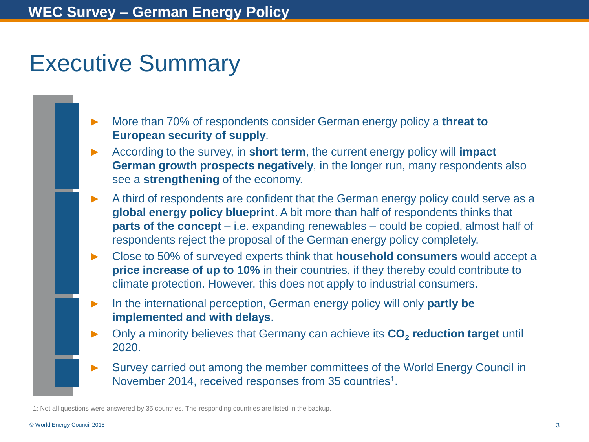## Executive Summary

- ► More than 70% of respondents consider German energy policy a **threat to European security of supply**.
- ► According to the survey, in **short term**, the current energy policy will **impact German growth prospects negatively**, in the longer run, many respondents also see a **strengthening** of the economy.
- A third of respondents are confident that the German energy policy could serve as a **global energy policy blueprint**. A bit more than half of respondents thinks that **parts of the concept** – i.e. expanding renewables – could be copied, almost half of respondents reject the proposal of the German energy policy completely.
- ► Close to 50% of surveyed experts think that **household consumers** would accept a **price increase of up to 10%** in their countries, if they thereby could contribute to climate protection. However, this does not apply to industrial consumers.
- In the international perception, German energy policy will only **partly be implemented and with delays**.
- ► Only a minority believes that Germany can achieve its **CO<sup>2</sup> reduction target** until 2020.
- Survey carried out among the member committees of the World Energy Council in November 2014, received responses from 35 countries<sup>1</sup>.

1: Not all questions were answered by 35 countries. The responding countries are listed in the backup.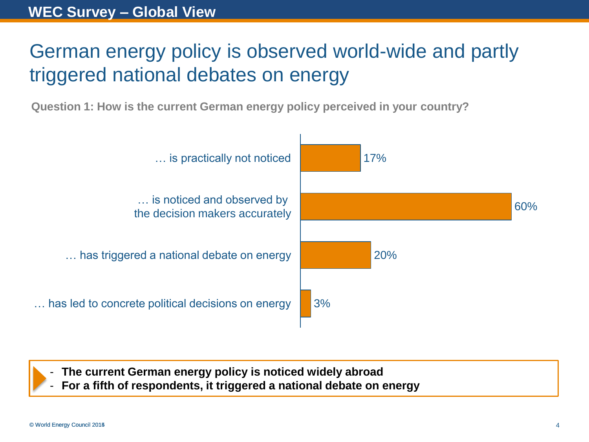## German energy policy is observed world-wide and partly triggered national debates on energy

**Question 1: How is the current German energy policy perceived in your country?**



- **The current German energy policy is noticed widely abroad**

- **For a fifth of respondents, it triggered a national debate on energy**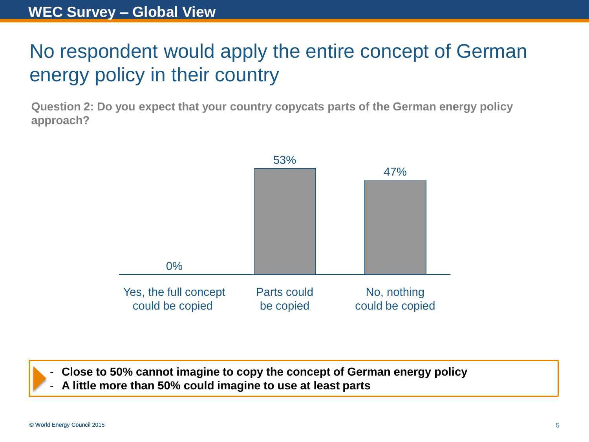## No respondent would apply the entire concept of German energy policy in their country

**Question 2: Do you expect that your country copycats parts of the German energy policy approach?**



- **Close to 50% cannot imagine to copy the concept of German energy policy**

- **A little more than 50% could imagine to use at least parts**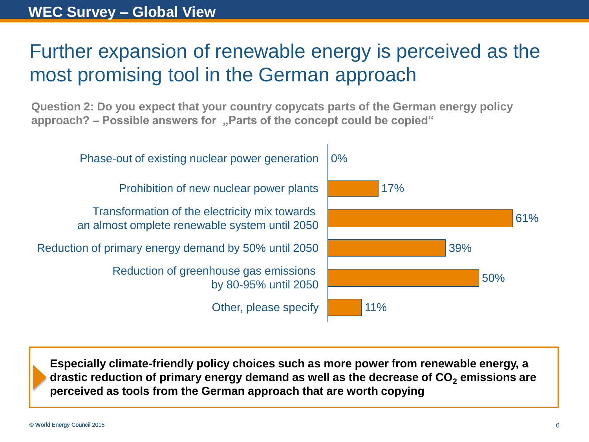## Further expansion of renewable energy is perceived as the most promising tool in the German approach

**Question 2: Do you expect that your country copycats parts of the German energy policy approach? – Possible answers for "Parts of the concept could be copied"** 



**Especially climate-friendly policy choices such as more power from renewable energy, a drastic reduction of primary energy demand as well as the decrease of CO<sup>2</sup> emissions are perceived as tools from the German approach that are worth copying**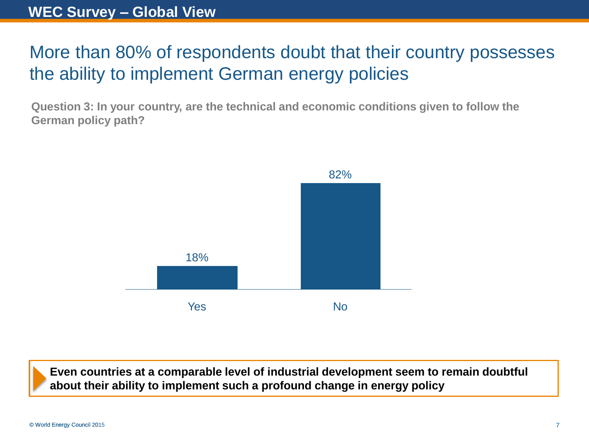#### More than 80% of respondents doubt that their country possesses the ability to implement German energy policies

**Question 3: In your country, are the technical and economic conditions given to follow the German policy path?**



**Even countries at a comparable level of industrial development seem to remain doubtful about their ability to implement such a profound change in energy policy**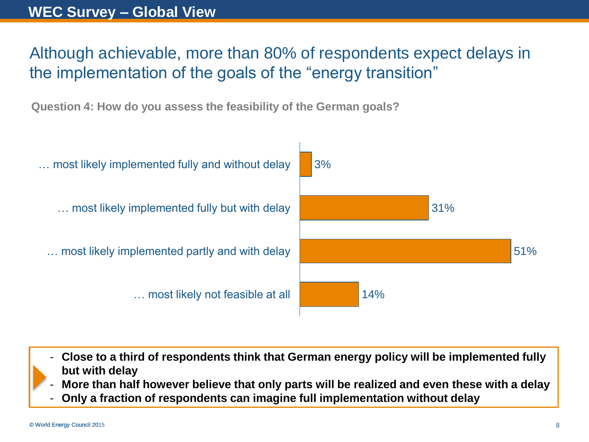#### **WEC Survey – Global View**

#### Although achievable, more than 80% of respondents expect delays in the implementation of the goals of the "energy transition"

**Question 4: How do you assess the feasibility of the German goals?**



- **Close to a third of respondents think that German energy policy will be implemented fully but with delay**
- **More than half however believe that only parts will be realized and even these with a delay**
- **Only a fraction of respondents can imagine full implementation without delay**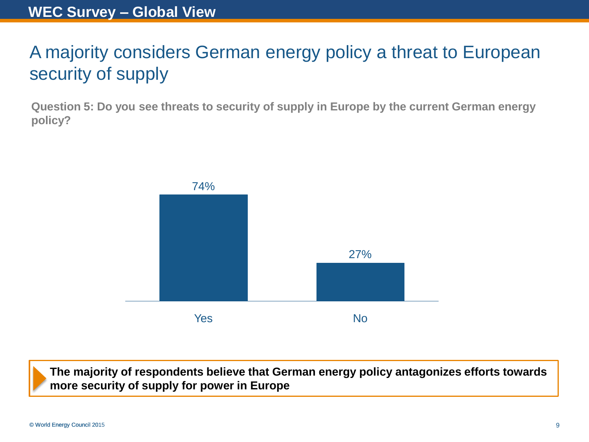## A majority considers German energy policy a threat to European security of supply

**Question 5: Do you see threats to security of supply in Europe by the current German energy policy?**



**The majority of respondents believe that German energy policy antagonizes efforts towards more security of supply for power in Europe**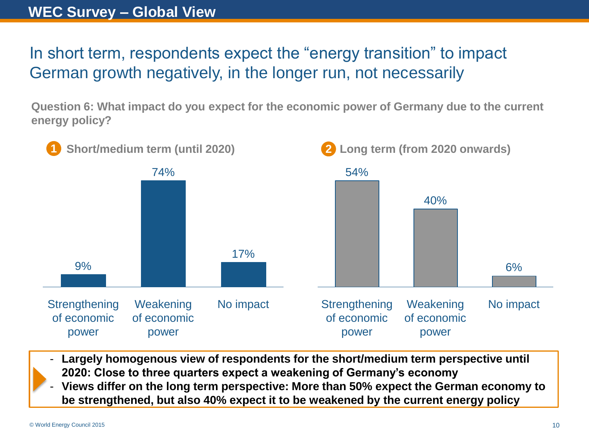#### **WEC Survey – Global View**

In short term, respondents expect the "energy transition" to impact German growth negatively, in the longer run, not necessarily

**Question 6: What impact do you expect for the economic power of Germany due to the current energy policy?**



- Largely homogenous view of respondents for the short/medium term perspective until **2020: Close to three quarters expect a weakening of Germany's economy**
- **Views differ on the long term perspective: More than 50% expect the German economy to be strengthened, but also 40% expect it to be weakened by the current energy policy**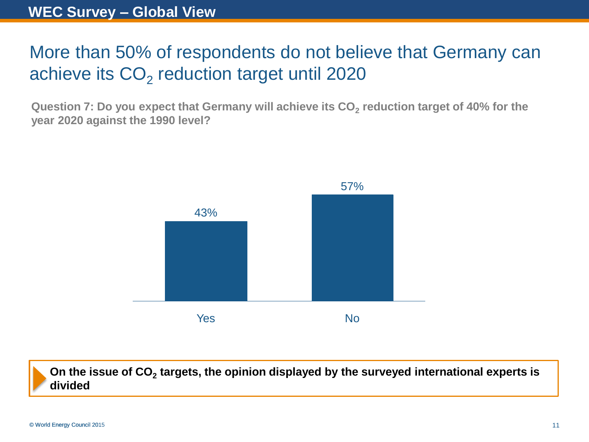## More than 50% of respondents do not believe that Germany can achieve its  $\mathsf{CO}_2$  reduction target until 2020

**Question 7: Do you expect that Germany will achieve its CO<sup>2</sup> reduction target of 40% for the year 2020 against the 1990 level?**



On the issue of CO<sub>2</sub> targets, the opinion displayed by the surveyed international experts is **divided**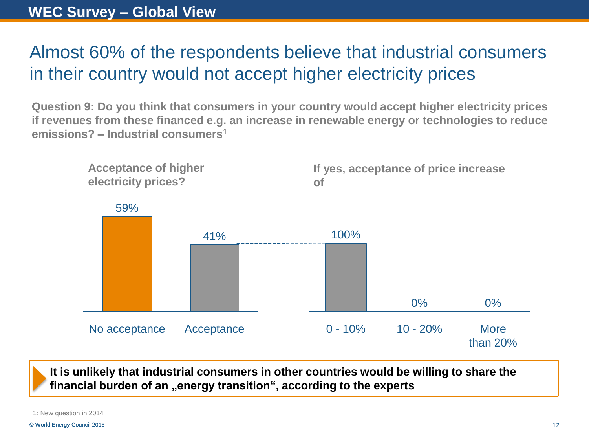#### Almost 60% of the respondents believe that industrial consumers in their country would not accept higher electricity prices

**Question 9: Do you think that consumers in your country would accept higher electricity prices if revenues from these financed e.g. an increase in renewable energy or technologies to reduce emissions? – Industrial consumers<sup>1</sup>**



**It is unlikely that industrial consumers in other countries would be willing to share the financial burden of an "energy transition", according to the experts** 

1: New question in 2014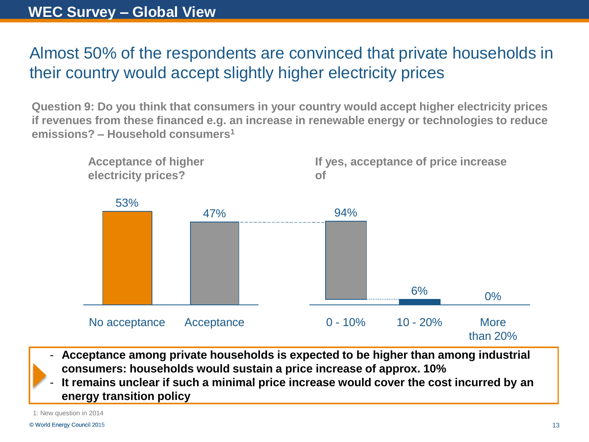#### Almost 50% of the respondents are convinced that private households in their country would accept slightly higher electricity prices

**Question 9: Do you think that consumers in your country would accept higher electricity prices if revenues from these financed e.g. an increase in renewable energy or technologies to reduce emissions? – Household consumers<sup>1</sup>**



- **Acceptance among private households is expected to be higher than among industrial consumers: households would sustain a price increase of approx. 10%**

It remains unclear if such a minimal price increase would cover the cost incurred by an **energy transition policy**

1: New question in 2014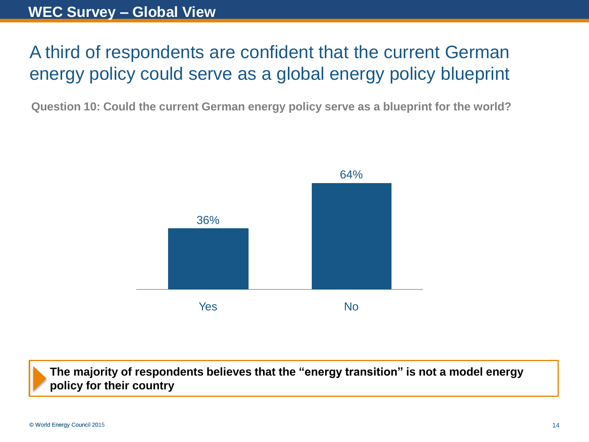## A third of respondents are confident that the current German energy policy could serve as a global energy policy blueprint

**Question 10: Could the current German energy policy serve as a blueprint for the world?**



**The majority of respondents believes that the "energy transition" is not a model energy policy for their country**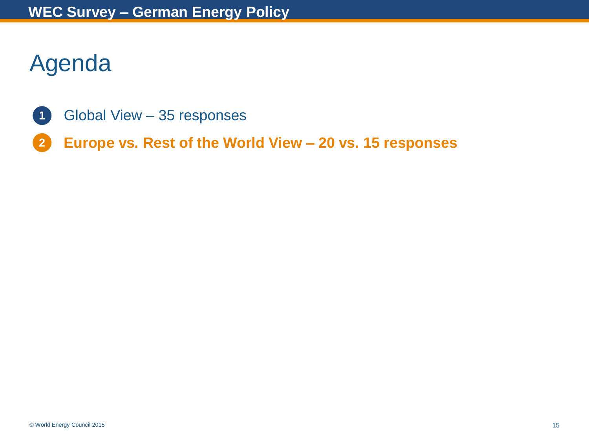## Agenda

- Global View 35 responses **1**
- **Europe vs. Rest of the World View – 20 vs. 15 responses 2**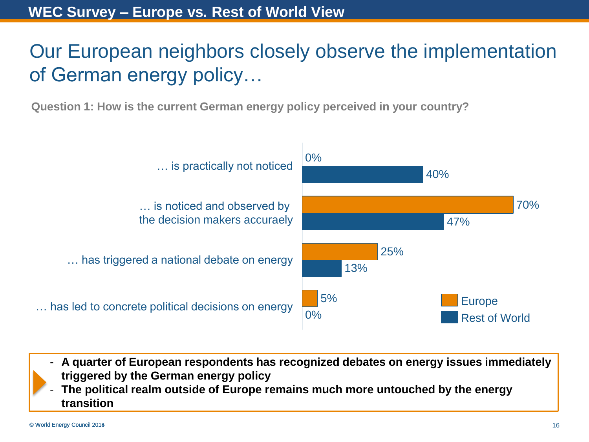## Our European neighbors closely observe the implementation of German energy policy…

**Question 1: How is the current German energy policy perceived in your country?**



- **A quarter of European respondents has recognized debates on energy issues immediately triggered by the German energy policy**
- **The political realm outside of Europe remains much more untouched by the energy transition**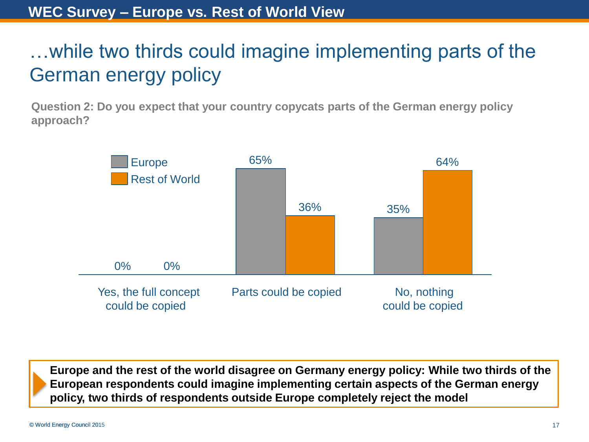## …while two thirds could imagine implementing parts of the German energy policy

**Question 2: Do you expect that your country copycats parts of the German energy policy approach?**



**Europe and the rest of the world disagree on Germany energy policy: While two thirds of the European respondents could imagine implementing certain aspects of the German energy policy, two thirds of respondents outside Europe completely reject the model**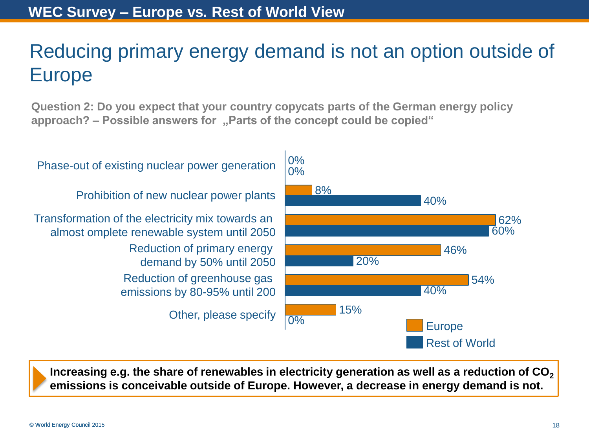## Reducing primary energy demand is not an option outside of Europe

**Question 2: Do you expect that your country copycats parts of the German energy policy approach? – Possible answers for "Parts of the concept could be copied"** 



Increasing e.g. the share of renewables in electricity generation as well as a reduction of CO<sub>2</sub> **emissions is conceivable outside of Europe. However, a decrease in energy demand is not.**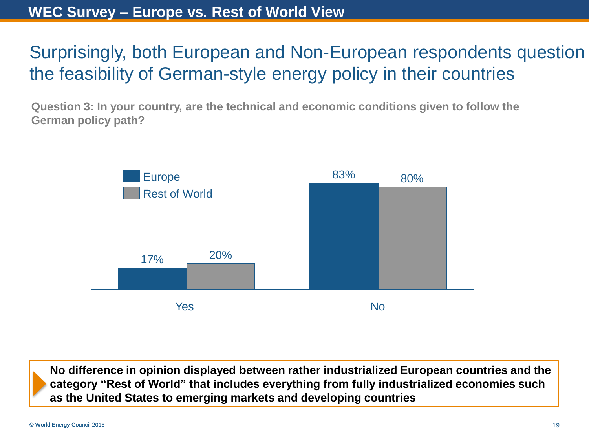## Surprisingly, both European and Non-European respondents question the feasibility of German-style energy policy in their countries

**Question 3: In your country, are the technical and economic conditions given to follow the German policy path?**



**No difference in opinion displayed between rather industrialized European countries and the category "Rest of World" that includes everything from fully industrialized economies such as the United States to emerging markets and developing countries**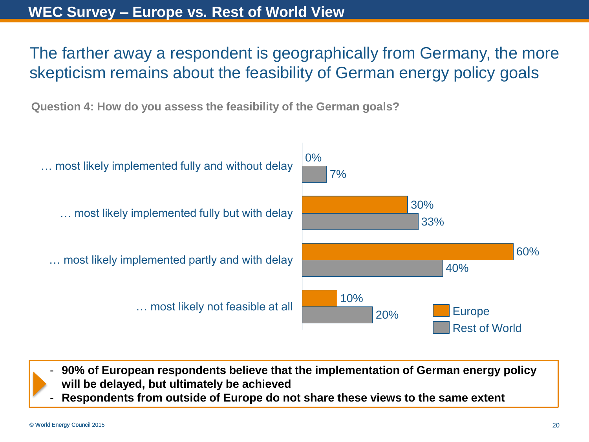#### The farther away a respondent is geographically from Germany, the more skepticism remains about the feasibility of German energy policy goals

**Question 4: How do you assess the feasibility of the German goals?**



- **90% of European respondents believe that the implementation of German energy policy will be delayed, but ultimately be achieved**

- **Respondents from outside of Europe do not share these views to the same extent**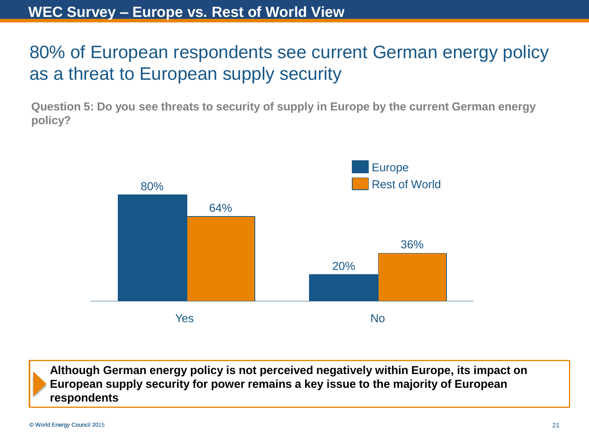#### 80% of European respondents see current German energy policy as a threat to European supply security

**Question 5: Do you see threats to security of supply in Europe by the current German energy policy?**



**Although German energy policy is not perceived negatively within Europe, its impact on European supply security for power remains a key issue to the majority of European respondents**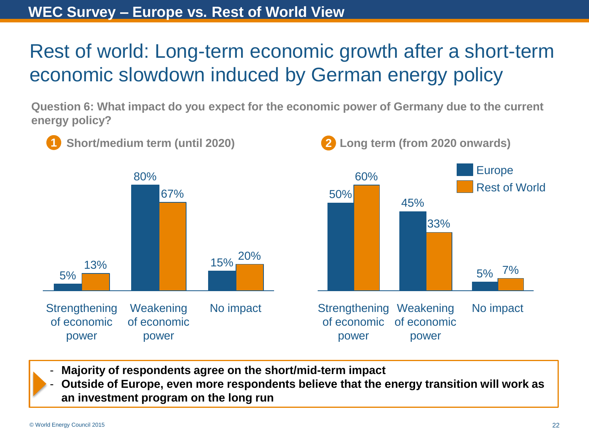## Rest of world: Long-term economic growth after a short-term economic slowdown induced by German energy policy

**Question 6: What impact do you expect for the economic power of Germany due to the current energy policy?**



- **Majority of respondents agree on the short/mid-term impact**
- **Outside of Europe, even more respondents believe that the energy transition will work as an investment program on the long run**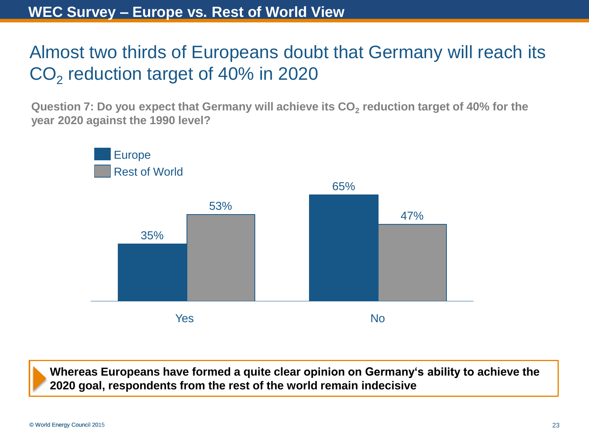## Almost two thirds of Europeans doubt that Germany will reach its  $CO<sub>2</sub>$  reduction target of 40% in 2020

**Question 7: Do you expect that Germany will achieve its CO<sup>2</sup> reduction target of 40% for the year 2020 against the 1990 level?**



**Whereas Europeans have formed a quite clear opinion on Germany's ability to achieve the 2020 goal, respondents from the rest of the world remain indecisive**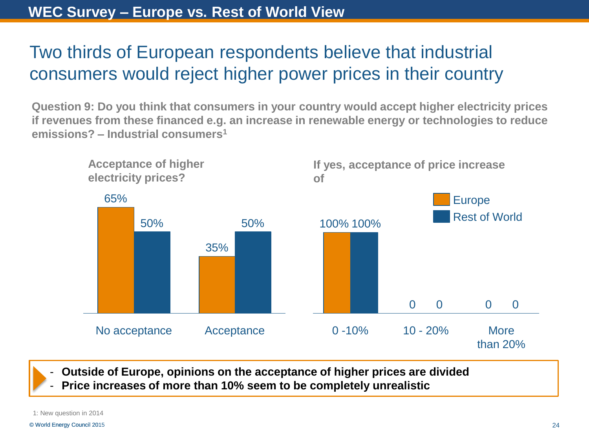#### Two thirds of European respondents believe that industrial consumers would reject higher power prices in their country

**Question 9: Do you think that consumers in your country would accept higher electricity prices if revenues from these financed e.g. an increase in renewable energy or technologies to reduce emissions? – Industrial consumers<sup>1</sup>**



- **Outside of Europe, opinions on the acceptance of higher prices are divided**

- **Price increases of more than 10% seem to be completely unrealistic**

1: New question in 2014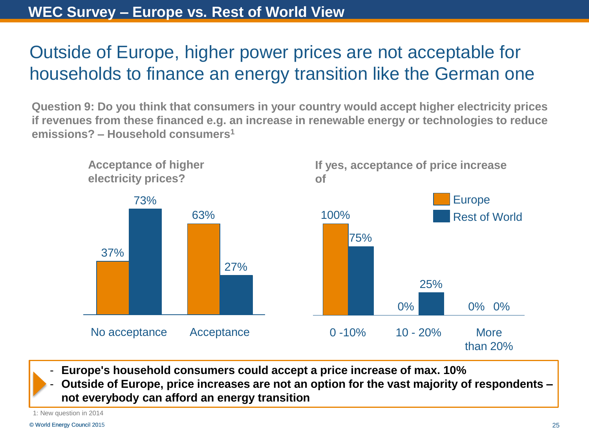#### Outside of Europe, higher power prices are not acceptable for households to finance an energy transition like the German one

**Question 9: Do you think that consumers in your country would accept higher electricity prices if revenues from these financed e.g. an increase in renewable energy or technologies to reduce emissions? – Household consumers<sup>1</sup>**



- **Europe's household consumers could accept a price increase of max. 10%**
- **Outside of Europe, price increases are not an option for the vast majority of respondents – not everybody can afford an energy transition**

1: New question in 2014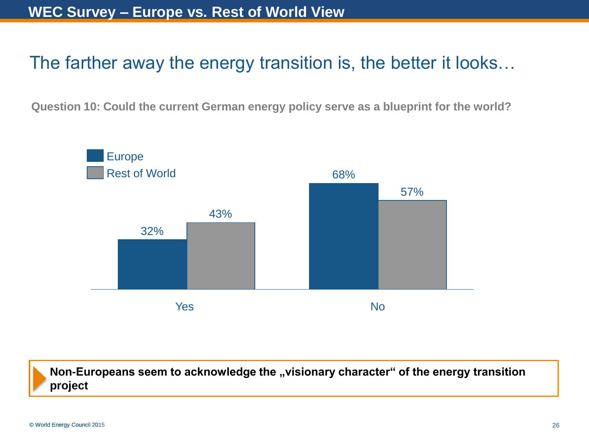#### The farther away the energy transition is, the better it looks…

**Question 10: Could the current German energy policy serve as a blueprint for the world?**



Non-Europeans seem to acknowledge the "visionary character" of the energy transition **project**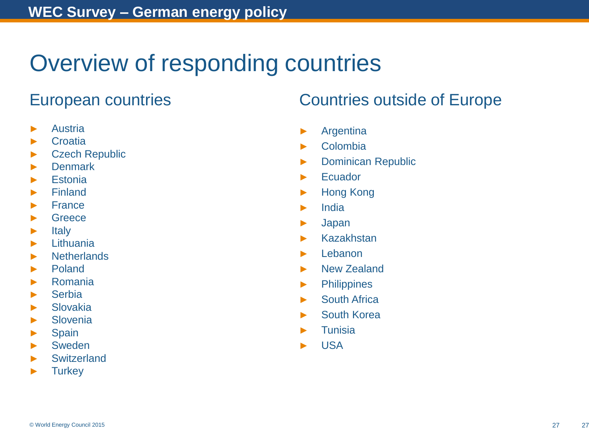## Overview of responding countries

- ► Austria
- ► Croatia
- ► Czech Republic
- ► Denmark
- ► Estonia
- ► Finland
- ► France
- ► Greece
- ► Italy
- ► Lithuania
- ► Netherlands
- ► Poland
- ► Romania
- ► Serbia
- ► Slovakia
- ► Slovenia
- ► Spain
- ► Sweden
- **Switzerland**
- ► Turkey

#### European countries Countries outside of Europe

- ► Argentina
- ► Colombia
- ► Dominican Republic
- ► Ecuador
- ► Hong Kong
- ► India
- ► Japan
- ► Kazakhstan
- ► Lebanon
- ► New Zealand
- ► Philippines
- ► South Africa
- ► South Korea
- ► Tunisia
- ► USA